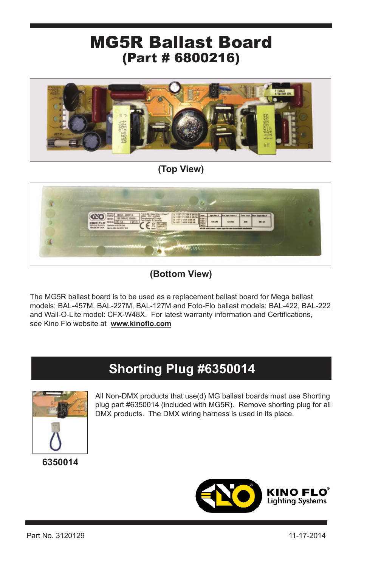## (Part # 6800216) MG5R Ballast Board



**(Top View)**



**(Bottom View)**

The MG5R ballast board is to be used as a replacement ballast board for Mega ballast models: BAL-457M, BAL-227M, BAL-127M and Foto-Flo ballast models: BAL-422, BAL-222 and Wall-O-Lite model: CFX-W48X. For latest warranty information and Certifications, see Kino Flo website at **www.kinoflo.com**

## **Shorting Plug #6350014**



All Non-DMX products that use(d) MG ballast boards must use Shorting plug part #6350014 (included with MG5R). Remove shorting plug for all DMX products. The DMX wiring harness is used in its place.